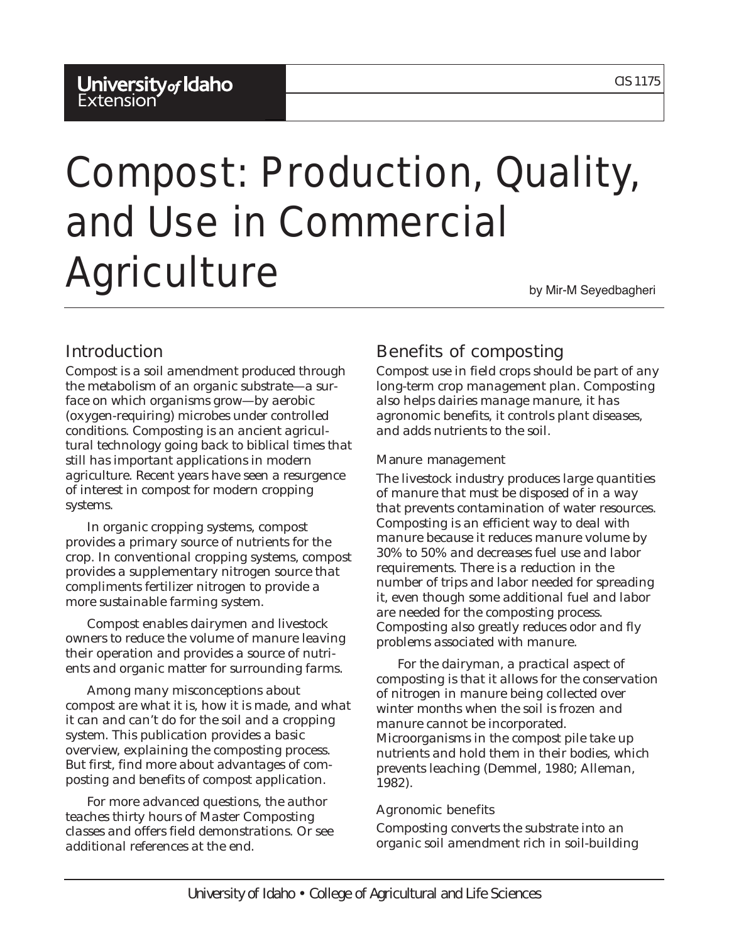# Compost: Production, Quality, and Use in Commercial Agriculture by Mir-M Seyedbagheri

# Introduction

Compost is a soil amendment produced through the metabolism of an organic substrate—a surface on which organisms grow—by aerobic (oxygen-requiring) microbes under controlled conditions. Composting is an ancient agricultural technology going back to biblical times that still has important applications in modern agriculture. Recent years have seen a resurgence of interest in compost for modern cropping systems.

In organic cropping systems, compost provides a primary source of nutrients for the crop. In conventional cropping systems, compost provides a supplementary nitrogen source that compliments fertilizer nitrogen to provide a more sustainable farming system.

Compost enables dairymen and livestock owners to reduce the volume of manure leaving their operation and provides a source of nutrients and organic matter for surrounding farms.

Among many misconceptions about compost are what it is, how it is made, and what it can and can't do for the soil and a cropping system. This publication provides a basic overview, explaining the composting process. But first, find more about advantages of composting and benefits of compost application.

For more advanced questions, the author teaches thirty hours of Master Composting classes and offers field demonstrations. Or see additional references at the end.

# Benefits of composting

Compost use in field crops should be part of any long-term crop management plan. Composting also helps dairies manage manure, it has agronomic benefits, it controls plant diseases, and adds nutrients to the soil.

#### Manure management

The livestock industry produces large quantities of manure that must be disposed of in a way that prevents contamination of water resources. Composting is an efficient way to deal with manure because it reduces manure volume by 30% to 50% and decreases fuel use and labor requirements. There is a reduction in the number of trips and labor needed for spreading it, even though some additional fuel and labor are needed for the composting process. Composting also greatly reduces odor and fly problems associated with manure.

For the dairyman, a practical aspect of composting is that it allows for the conservation of nitrogen in manure being collected over winter months when the soil is frozen and manure cannot be incorporated. Microorganisms in the compost pile take up nutrients and hold them in their bodies, which prevents leaching (Demmel, 1980; Alleman, 1982).

#### Agronomic benefits

Composting converts the substrate into an organic soil amendment rich in soil-building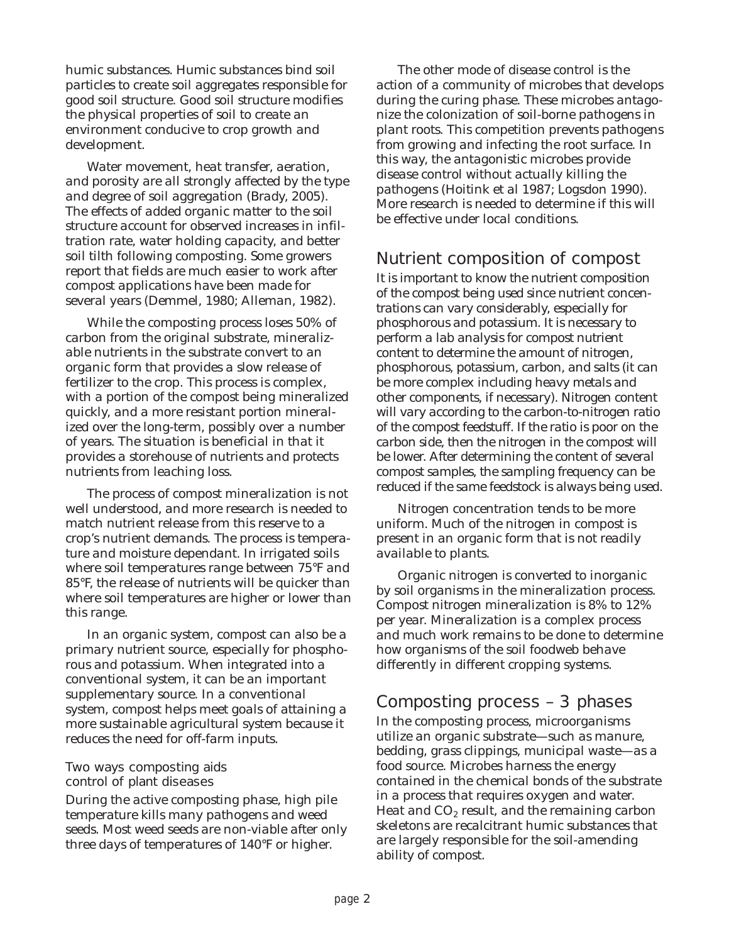humic substances. Humic substances bind soil particles to create soil aggregates responsible for good soil structure. Good soil structure modifies the physical properties of soil to create an environment conducive to crop growth and development.

Water movement, heat transfer, aeration, and porosity are all strongly affected by the type and degree of soil aggregation (Brady, 2005). The effects of added organic matter to the soil structure account for observed increases in infiltration rate, water holding capacity, and better soil tilth following composting. Some growers report that fields are much easier to work after compost applications have been made for several years (Demmel, 1980; Alleman, 1982).

While the composting process loses 50% of carbon from the original substrate, mineralizable nutrients in the substrate convert to an organic form that provides a slow release of fertilizer to the crop. This process is complex, with a portion of the compost being mineralized quickly, and a more resistant portion mineralized over the long-term, possibly over a number of years. The situation is beneficial in that it provides a storehouse of nutrients and protects nutrients from leaching loss.

The process of compost mineralization is not well understood, and more research is needed to match nutrient release from this reserve to a crop's nutrient demands. The process is temperature and moisture dependant. In irrigated soils where soil temperatures range between 75°F and 85°F, the release of nutrients will be quicker than where soil temperatures are higher or lower than this range.

In an organic system, compost can also be a primary nutrient source, especially for phosphorous and potassium. When integrated into a conventional system, it can be an important supplementary source. In a conventional system, compost helps meet goals of attaining a more sustainable agricultural system because it reduces the need for off-farm inputs.

#### Two ways composting aids control of plant diseases

During the active composting phase, high pile temperature kills many pathogens and weed seeds. Most weed seeds are non-viable after only three days of temperatures of 140°F or higher.

The other mode of disease control is the action of a community of microbes that develops during the curing phase. These microbes antagonize the colonization of soil-borne pathogens in plant roots. This competition prevents pathogens from growing and infecting the root surface. In this way, the antagonistic microbes provide disease control without actually killing the pathogens (Hoitink et al 1987; Logsdon 1990). More research is needed to determine if this will be effective under local conditions.

# Nutrient composition of compost

It is important to know the nutrient composition of the compost being used since nutrient concentrations can vary considerably, especially for phosphorous and potassium. It is necessary to perform a lab analysis for compost nutrient content to determine the amount of nitrogen, phosphorous, potassium, carbon, and salts (it can be more complex including heavy metals and other components, if necessary). Nitrogen content will vary according to the carbon-to-nitrogen ratio of the compost feedstuff. If the ratio is poor on the carbon side, then the nitrogen in the compost will be lower. After determining the content of several compost samples, the sampling frequency can be reduced if the same feedstock is always being used.

Nitrogen concentration tends to be more uniform. Much of the nitrogen in compost is present in an organic form that is not readily available to plants.

Organic nitrogen is converted to inorganic by soil organisms in the mineralization process. Compost nitrogen mineralization is 8% to 12% per year. Mineralization is a complex process and much work remains to be done to determine how organisms of the soil foodweb behave differently in different cropping systems.

# Composting process – 3 phases

In the composting process, microorganisms utilize an organic substrate—such as manure, bedding, grass clippings, municipal waste—as a food source. Microbes harness the energy contained in the chemical bonds of the substrate in a process that requires oxygen and water. Heat and  $CO<sub>2</sub>$  result, and the remaining carbon skeletons are recalcitrant humic substances that are largely responsible for the soil-amending ability of compost.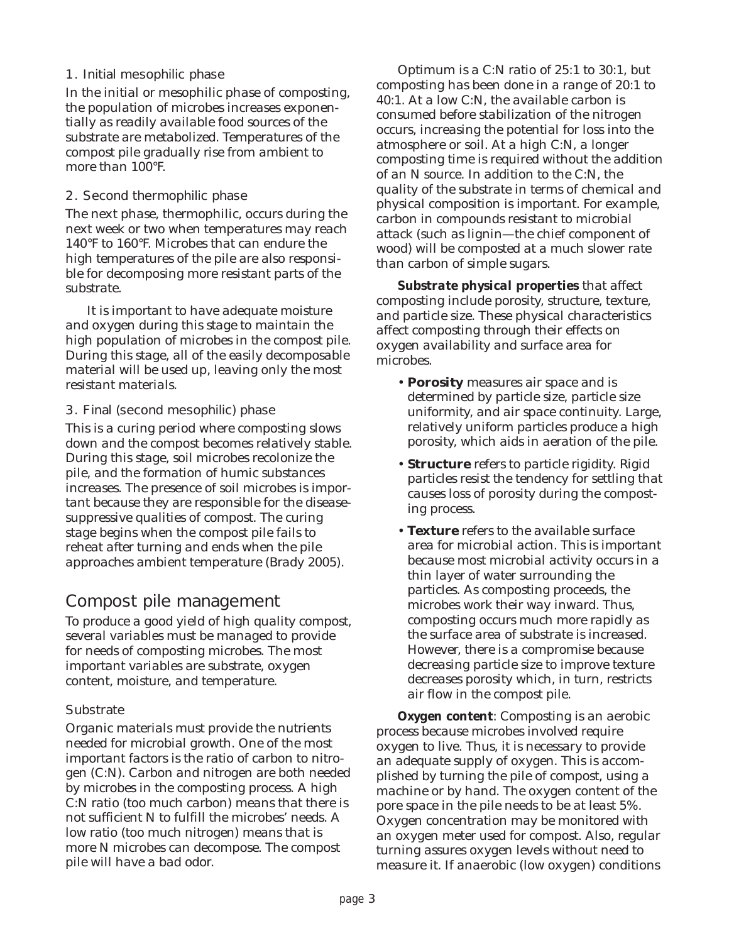#### 1. Initial mesophilic phase

In the initial or mesophilic phase of composting, the population of microbes increases exponentially as readily available food sources of the substrate are metabolized. Temperatures of the compost pile gradually rise from ambient to more than 100°F.

#### 2. Second thermophilic phase

The next phase, thermophilic, occurs during the next week or two when temperatures may reach 140°F to 160°F. Microbes that can endure the high temperatures of the pile are also responsible for decomposing more resistant parts of the substrate.

It is important to have adequate moisture and oxygen during this stage to maintain the high population of microbes in the compost pile. During this stage, all of the easily decomposable material will be used up, leaving only the most resistant materials.

#### 3. Final (second mesophilic) phase

This is a curing period where composting slows down and the compost becomes relatively stable. During this stage, soil microbes recolonize the pile, and the formation of humic substances increases. The presence of soil microbes is important because they are responsible for the diseasesuppressive qualities of compost. The curing stage begins when the compost pile fails to reheat after turning and ends when the pile approaches ambient temperature (Brady 2005).

# Compost pile management

To produce a good yield of high quality compost, several variables must be managed to provide for needs of composting microbes. The most important variables are substrate, oxygen content, moisture, and temperature.

#### **Substrate**

Organic materials must provide the nutrients needed for microbial growth. One of the most important factors is the ratio of carbon to nitrogen (C:N). Carbon and nitrogen are both needed by microbes in the composting process. A high C:N ratio (too much carbon) means that there is not sufficient N to fulfill the microbes' needs. A low ratio (too much nitrogen) means that is more N microbes can decompose. The compost pile will have a bad odor.

Optimum is a C:N ratio of 25:1 to 30:1, but composting has been done in a range of 20:1 to 40:1. At a low C:N, the available carbon is consumed before stabilization of the nitrogen occurs, increasing the potential for loss into the atmosphere or soil. At a high C:N, a longer composting time is required without the addition of an N source. In addition to the C:N, the quality of the substrate in terms of chemical and physical composition is important. For example, carbon in compounds resistant to microbial attack (such as lignin—the chief component of wood) will be composted at a much slower rate than carbon of simple sugars.

*Substrate physical properties* that affect composting include porosity, structure, texture, and particle size. These physical characteristics affect composting through their effects on oxygen availability and surface area for microbes.

- **Porosity** measures air space and is determined by particle size, particle size uniformity, and air space continuity. Large, relatively uniform particles produce a high porosity, which aids in aeration of the pile.
- **Structure** refers to particle rigidity. Rigid particles resist the tendency for settling that causes loss of porosity during the composting process.
- **Texture** refers to the available surface area for microbial action. This is important because most microbial activity occurs in a thin layer of water surrounding the particles. As composting proceeds, the microbes work their way inward. Thus, composting occurs much more rapidly as the surface area of substrate is increased. However, there is a compromise because decreasing particle size to improve texture decreases porosity which, in turn, restricts air flow in the compost pile.

*Oxygen content:* Composting is an aerobic process because microbes involved require oxygen to live. Thus, it is necessary to provide an adequate supply of oxygen. This is accomplished by turning the pile of compost, using a machine or by hand. The oxygen content of the pore space in the pile needs to be at least 5%. Oxygen concentration may be monitored with an oxygen meter used for compost. Also, regular turning assures oxygen levels without need to measure it. If anaerobic (low oxygen) conditions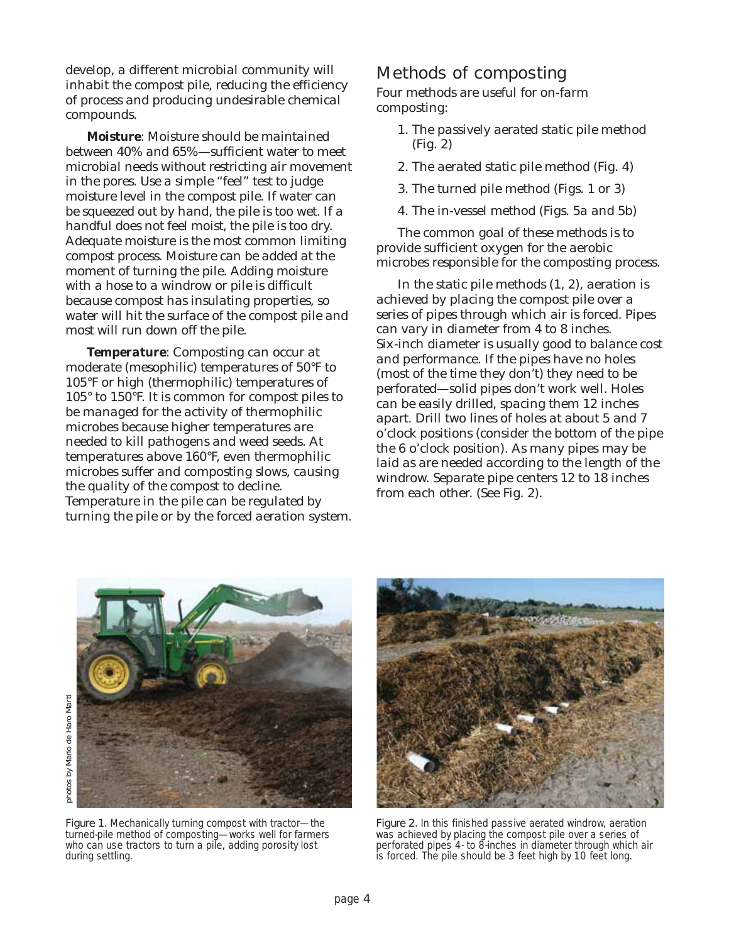<span id="page-3-0"></span>develop, a different microbial community will inhabit the compost pile, reducing the efficiency of process and producing undesirable chemical compounds.

*Moisture*: Moisture should be maintained between 40% and 65%—sufficient water to meet microbial needs without restricting air movement in the pores. Use a simple "feel" test to judge moisture level in the compost pile. If water can be squeezed out by hand, the pile is too wet. If a handful does not feel moist, the pile is too dry. Adequate moisture is the most common limiting compost process. Moisture can be added at the moment of turning the pile. Adding moisture with a hose to a windrow or pile is difficult because compost has insulating properties, so water will hit the surface of the compost pile and most will run down off the pile.

**Temperature:** Composting can occur at moderate (mesophilic) temperatures of 50°F to 105°F or high (thermophilic) temperatures of 105° to 150°F. It is common for compost piles to be managed for the activity of thermophilic microbes because higher temperatures are needed to kill pathogens and weed seeds. At temperatures above 160°F, even thermophilic microbes suffer and composting slows, causing the quality of the compost to decline. Temperature in the pile can be regulated by turning the pile or by the forced aeration system.

## Methods of composting

Four methods are useful for on-farm composting:

- 1. The passively aerated static pile method (Fig. 2)
- 2. The aerated static pile method [\(Fig. 4\)](#page-4-0)
- 3. The turned pile method (Figs. 1 or [3\)](#page-4-0)
- 4. The in-vessel method [\(Figs. 5a and 5b\)](#page-4-0)

The common goal of these methods is to provide sufficient oxygen for the aerobic microbes responsible for the composting process.

In the static pile methods (1, 2), aeration is achieved by placing the compost pile over a series of pipes through which air is forced. Pipes can vary in diameter from 4 to 8 inches. Six-inch diameter is usually good to balance cost and performance. If the pipes have no holes (most of the time they don't) they need to be perforated—solid pipes don't work well. Holes can be easily drilled, spacing them 12 inches apart. Drill two lines of holes at about 5 and 7 o'clock positions (consider the bottom of the pipe the 6 o'clock position). As many pipes may be laid as are needed according to the length of the windrow. Separate pipe centers 12 to 18 inches from each other. (See Fig. 2).



Figure 1. Mechanically turning compost with tractor-the turned-pile method of composting—works well for farmers who can use tractors to turn a pile, adding porosity lost during settling.



Figure 2. In this finished passive aerated windrow, aeration was achieved by placing the compost pile over a series of perforated pipes 4- to 8-inches in diameter through which air is forced. The pile should be 3 feet high by 10 feet long.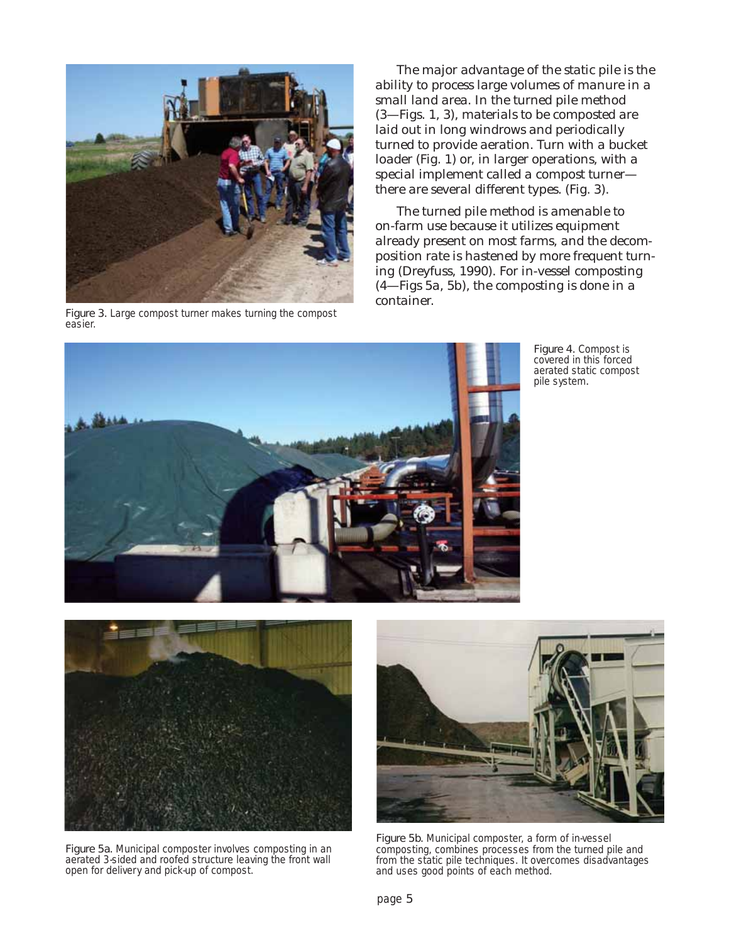<span id="page-4-0"></span>

Figure 3. Large compost turner makes turning the compost easier.

The major advantage of the static pile is the ability to process large volumes of manure in a small land area. In the turned pile method (3—Figs. 1, 3), materials to be composted are laid out in long windrows and periodically turned to provide aeration. Turn with a bucket loader [\(Fig. 1\)](#page-3-0) or, in larger operations, with a special implement called a compost turner there are several different types. (Fig. 3).

The turned pile method is amenable to on-farm use because it utilizes equipment already present on most farms, and the decomposition rate is hastened by more frequent turning (Dreyfuss, 1990). For in-vessel composting (4—Figs 5a, 5b), the composting is done in a container.



Figure 4. Compost is covered in this forced aerated static compost pile system.



Figure 5a. Municipal composter involves composting in an aerated 3-sided and roofed structure leaving the front wall open for delivery and pick-up of compost.



Figure 5b. Municipal composter, a form of in-vessel composting, combines processes from the turned pile and from the static pile techniques. It overcomes disadvantages and uses good points of each method.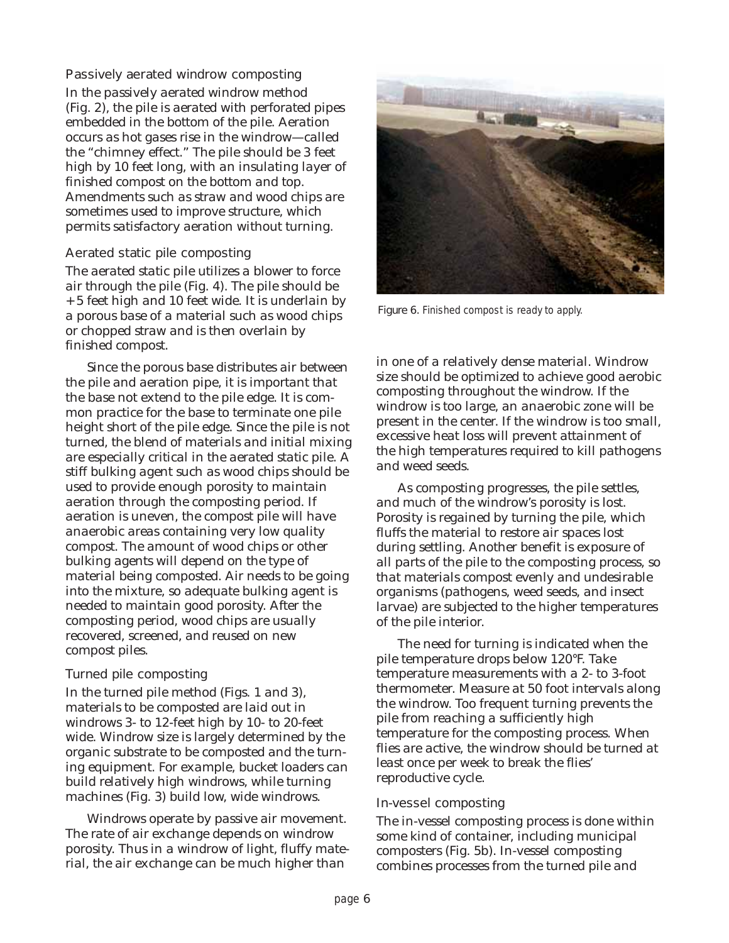#### Passively aerated windrow composting

In the passively aerated windrow method [\(Fig. 2\),](#page-3-0) the pile is aerated with perforated pipes embedded in the bottom of the pile. Aeration occurs as hot gases rise in the windrow—called the "chimney effect." The pile should be 3 feet high by 10 feet long, with an insulating layer of finished compost on the bottom and top. Amendments such as straw and wood chips are sometimes used to improve structure, which permits satisfactory aeration without turning.

#### Aerated static pile composting

The aerated static pile utilizes a blower to force air through the pile [\(Fig. 4\).](#page-4-0) The pile should be + 5 feet high and 10 feet wide. It is underlain by a porous base of a material such as wood chips or chopped straw and is then overlain by finished compost.

Since the porous base distributes air between the pile and aeration pipe, it is important that the base not extend to the pile edge. It is common practice for the base to terminate one pile height short of the pile edge. Since the pile is not turned, the blend of materials and initial mixing are especially critical in the aerated static pile. A stiff bulking agent such as wood chips should be used to provide enough porosity to maintain aeration through the composting period. If aeration is uneven, the compost pile will have anaerobic areas containing very low quality compost. The amount of wood chips or other bulking agents will depend on the type of material being composted. Air needs to be going into the mixture, so adequate bulking agent is needed to maintain good porosity. After the composting period, wood chips are usually recovered, screened, and reused on new compost piles.

#### Turned pile composting

In the turned pile method [\(Figs. 1 and 3\)](#page-3-0), materials to be composted are laid out in windrows 3- to 12-feet high by 10- to 20-feet wide. Windrow size is largely determined by the organic substrate to be composted and the turning equipment. For example, bucket loaders can build relatively high windrows, while turning machines [\(Fig. 3\)](#page-4-0) build low, wide windrows.

Windrows operate by passive air movement. The rate of air exchange depends on windrow porosity. Thus in a windrow of light, fluffy material, the air exchange can be much higher than



Figure 6. Finished compost is ready to apply.

in one of a relatively dense material. Windrow size should be optimized to achieve good aerobic composting throughout the windrow. If the windrow is too large, an anaerobic zone will be present in the center. If the windrow is too small, excessive heat loss will prevent attainment of the high temperatures required to kill pathogens and weed seeds.

As composting progresses, the pile settles, and much of the windrow's porosity is lost. Porosity is regained by turning the pile, which fluffs the material to restore air spaces lost during settling. Another benefit is exposure of all parts of the pile to the composting process, so that materials compost evenly and undesirable organisms (pathogens, weed seeds, and insect larvae) are subjected to the higher temperatures of the pile interior.

The need for turning is indicated when the pile temperature drops below 120°F. Take temperature measurements with a 2- to 3-foot thermometer. Measure at 50 foot intervals along the windrow. Too frequent turning prevents the pile from reaching a sufficiently high temperature for the composting process. When flies are active, the windrow should be turned at least once per week to break the flies' reproductive cycle.

#### In-vessel composting

The in-vessel composting process is done within some kind of container, including municipal composters [\(Fig. 5b\).](#page-4-0) In-vessel composting combines processes from the turned pile and